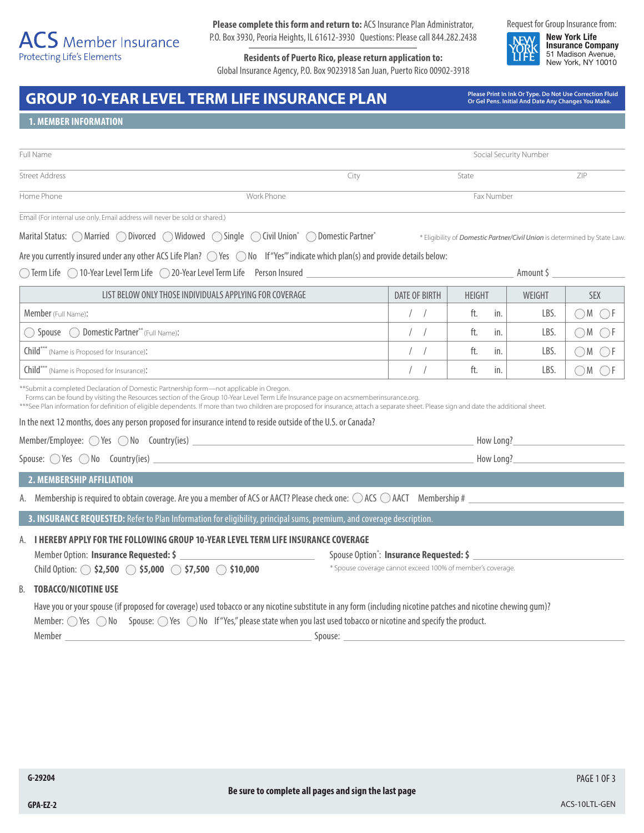**Please complete this form and return to:** ACS Insurance Plan Administrator, P.O. Box 3930, Peoria Heights, IL 61612-3930 Questions: Please call 844.282.2438

**Residents of Puerto Rico, please return application to:** Global Insurance Agency, P.O. Box 9023918 San Juan, Puerto Rico 00902-3918 Request for Group Insurance from:

**New York Life Insurance Company** 51 Madison Avenue, New York, NY 10010

# GROUP 10-YEAR LEVEL TERM LIFE INSURANCE PLAN<br>Or Gel Pens. Initial And Date Any Changes You Make.

**Or Gel Pens. Initial And Date Any Changes You Make.**

\* Eligibility of *Domestic Partner/Civil Union* is determined by State Law.

#### **1. MEMBER INFORMATION**

| Full Name             |            |      | Social Security Number |     |  |
|-----------------------|------------|------|------------------------|-----|--|
| <b>Street Address</b> |            | City | State                  | ZIP |  |
| Home Phone            | Work Phone |      | Fax Number             |     |  |

Email (For internal use only. Email address will never be sold or shared.)

Marital Status: MarriedDivorcedWidowedSingleCivil Union\* Domestic Partner\*

Are you currently insured under any other ACS Life Plan?  $\bigcirc$  Yes  $\bigcirc$  No If "Yes" indicate which plan(s) and provide details below:

 $\bigcirc$  Term Life  $\bigcirc$  10-Year Level Term Life  $\bigcirc$  20-Year Level Term Life Person Insured Amount \$ Amount \$ Amount \$

| LIST BELOW ONLY THOSE INDIVIDUALS APPLYING FOR COVERAGE | DATE OF BIRTH | <b>HEIGHT</b> | WEIGHT | <b>SEX</b> |
|---------------------------------------------------------|---------------|---------------|--------|------------|
| <b>Member</b> (Full Name):                              |               | ft.<br>in.    | LBS    |            |
| Spouse  O Domestic Partner** (Full Name):               |               | ft.<br>in.    | LBS    |            |
| Child <sup>***</sup> (Name is Proposed for Insurance):  |               | ft.<br>in.    | LBS.   |            |
| Child*** (Name is Proposed for Insurance):              |               | ft.<br>in.    | LBS.   |            |

\*\*Submit a completed Declaration of Domestic Partnership form—not applicable in Oregon.

| Forms can be found by visiting the Resources section of the Group 10-Year Level Term Life Insurance page on acsmemberinsurance.org. |  |  |  |
|-------------------------------------------------------------------------------------------------------------------------------------|--|--|--|
|-------------------------------------------------------------------------------------------------------------------------------------|--|--|--|

\*\*\*See Plan information for definition of eligible dependents. If more than two children are proposed for insurance, attach a separate sheet. Please sign and date the additional sheet.

In the next 12 months, does any person proposed for insurance intend to reside outside of the U.S. or Canada?

Member/Employee:  $\bigcirc$  Yes  $\bigcirc$  No Country(ies) How Long?

Spouse:  $\bigcirc$  Yes  $\bigcirc$  No Country(ies) **How Long?** How Long?

## **2. MEMBERSHIP AFFILIATION**

| A. Membership is required to obtain coverage. Are you a member of ACS or AACT? Please check one: $\bigcirc$ ACS $\bigcirc$ AACT Membership # |  |
|----------------------------------------------------------------------------------------------------------------------------------------------|--|
|----------------------------------------------------------------------------------------------------------------------------------------------|--|

**3. INSURANCE REQUESTED:** Refer to Plan Information for eligibility, principal sums, premium, and coverage description.

## A. **I HEREBY APPLY FOR THE FOLLOWING GROUP 10-YEAR LEVEL TERM LIFE INSURANCE COVERAGE**

Member Option: **Insurance Requested:** \$ : **Insurance Requested: \$**  Child Option: **• \$2,500 \$5,000 \$7,500 \$10,000** \* Spouse coverage cannot exceed 100% of member's coverage.

B. **TOBACCO/NICOTINE USE**

Have you or your spouse (if proposed for coverage) used tobacco or any nicotine substitute in any form (including nicotine patches and nicotine chewing gum)?

Member:  $\bigcirc$  Yes  $\bigcirc$  No Spouse:  $\bigcirc$  Yes  $\bigcirc$  No If "Yes," please state when you last used tobacco or nicotine and specify the product.

Member Spouse: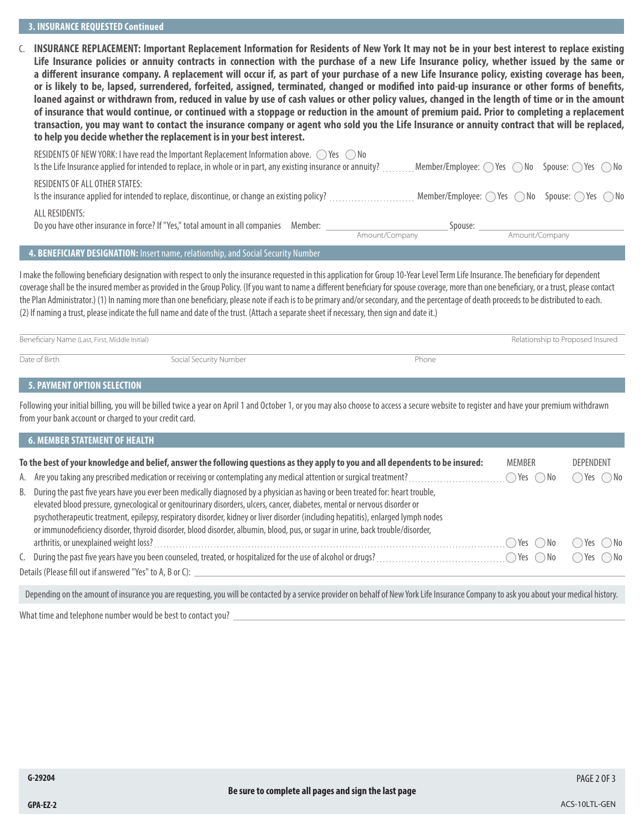C. **INSURANCE REPLACEMENT: Important Replacement Information for Residents of New York It may not be in your best interest to replace existing Life Insurance policies or annuity contracts in connection with the purchase of a new Life Insurance policy, whether issued by the same or a different insurance company. A replacement will occur if, as part of your purchase of a new Life Insurance policy, existing coverage has been, or is likely to be, lapsed, surrendered, forfeited, assigned, terminated, changed or modified into paid-up insurance or other forms of benefits, loaned against or withdrawn from, reduced in value by use of cash values or other policy values, changed in the length of time or in the amount of insurance that would continue, or continued with a stoppage or reduction in the amount of premium paid. Prior to completing a replacement transaction, you may want to contact the insurance company or agent who sold you the Life Insurance or annuity contract that will be replaced, to help you decide whether the replacement is in your best interest.**

| $\blacksquare$ . The second property of the second property is a second property of the second property of the second property of the second property of the second property of the second property of the second property of the sec |                                                                                    |                |  |
|---------------------------------------------------------------------------------------------------------------------------------------------------------------------------------------------------------------------------------------|------------------------------------------------------------------------------------|----------------|--|
|                                                                                                                                                                                                                                       | Amount/Company                                                                     | Amount/Company |  |
| ALL RESIDENTS:<br>Do you have other insurance in force? If "Yes," total amount in all companies Member:                                                                                                                               | Spouse:                                                                            |                |  |
| RESIDENTS OF ALL OTHER STATES:                                                                                                                                                                                                        |                                                                                    |                |  |
| RESIDENTS OF NEW YORK: I have read the Important Replacement Information above. $\bigcirc$ Yes $\bigcirc$ No<br>Is the Life Insurance applied for intended to replace, in whole or in part, any existing insurance or annuity?        | Member/Employee: $\bigcirc$ Yes $\bigcirc$ No Spouse: $\bigcirc$ Yes $\bigcirc$ No |                |  |

### **4. BENEFICIARY DESIGNATION:** Insert name, relationship, and Social Security Number

I make the following beneficiary designation with respect to only the insurance requested in this application for Group 10-Year Level Term Life Insurance. The beneficiary for dependent coverage shall be the insured member as provided in the Group Policy. (If you want to name a different beneficiary for spouse coverage, more than one beneficiary, or a trust, please contact the Plan Administrator.) (1) In naming more than one beneficiary, please note if each is to be primary and/or secondary, and the percentage of death proceeds to be distributed to each. (2) If naming a trust, please indicate the full name and date of the trust. (Attach a separate sheet if necessary, then sign and date it.)

| Beneficiary Name (Last, First, Middle Initial) |                        |       | Relationship to Proposed Insured |  |
|------------------------------------------------|------------------------|-------|----------------------------------|--|
| Date of Birth                                  | Social Security Number | Phone |                                  |  |

## **5. PAYMENT OPTION SELECTION**

Following your initial billing, you will be billed twice a year on April 1 and October 1, or you may also choose to access a secure website to register and have your premium withdrawn from your bank account or charged to your credit card.

| <b>6. MEMBER STATEMENT OF HEALTH</b>                                                                                                                                                                                                                                                                                                                                                                                                                                                                                                   |                              |                              |
|----------------------------------------------------------------------------------------------------------------------------------------------------------------------------------------------------------------------------------------------------------------------------------------------------------------------------------------------------------------------------------------------------------------------------------------------------------------------------------------------------------------------------------------|------------------------------|------------------------------|
| To the best of your knowledge and belief, answer the following questions as they apply to you and all dependents to be insured:                                                                                                                                                                                                                                                                                                                                                                                                        | <b>MEMBER</b>                | <b>DEPENDENT</b>             |
|                                                                                                                                                                                                                                                                                                                                                                                                                                                                                                                                        | $\bigcirc$ Yes $\bigcirc$ No | $\bigcirc$ Yes $\bigcirc$ No |
| B. During the past five years have you ever been medically diagnosed by a physician as having or been treated for: heart trouble,<br>elevated blood pressure, gynecological or genitourinary disorders, ulcers, cancer, diabetes, mental or nervous disorder or<br>psychotherapeutic treatment, epilepsy, respiratory disorder, kidney or liver disorder (including hepatitis), enlarged lymph nodes<br>or immunodeficiency disorder, thyroid disorder, blood disorder, albumin, blood, pus, or sugar in urine, back trouble/disorder, |                              |                              |
|                                                                                                                                                                                                                                                                                                                                                                                                                                                                                                                                        | ○Yes ○No                     | ()Yes ()No                   |
|                                                                                                                                                                                                                                                                                                                                                                                                                                                                                                                                        |                              | $\bigcap$ Yes $\bigcap$ No   |
| Details (Please fill out if answered "Yes" to A, B or C):                                                                                                                                                                                                                                                                                                                                                                                                                                                                              |                              |                              |
|                                                                                                                                                                                                                                                                                                                                                                                                                                                                                                                                        |                              |                              |

Depending on the amount of insurance you are requesting, you will be contacted by a service provider on behalf of New York Life Insurance Company to ask you about your medical history.

What time and telephone number would be best to contact you?